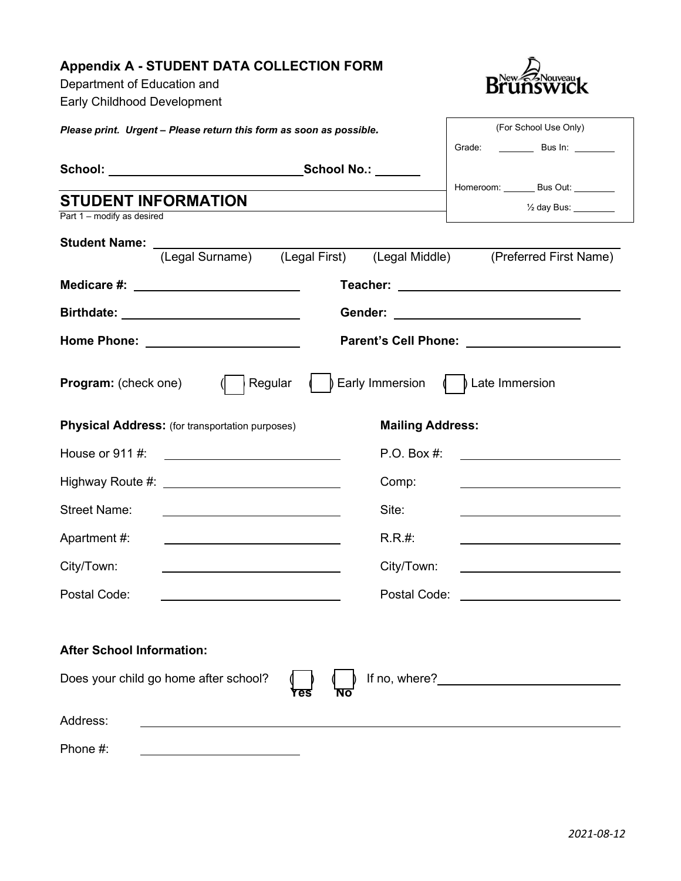## **Appendix A - STUDENT DATA COLLECTION FORM**

Department of Education and Early Childhood Development



 $\mathbf{r}$ 

| Please print. Urgent - Please return this form as soon as possible. |                                                        |         | (For School Use Only)   |                                                                                   |
|---------------------------------------------------------------------|--------------------------------------------------------|---------|-------------------------|-----------------------------------------------------------------------------------|
|                                                                     |                                                        |         |                         |                                                                                   |
|                                                                     |                                                        |         |                         |                                                                                   |
| <b>STUDENT INFORMATION</b>                                          |                                                        |         |                         | Homeroom: ________ Bus Out: ________                                              |
| Part 1 - modify as desired                                          |                                                        |         |                         | $\frac{1}{2}$ day Bus: $\frac{1}{2}$                                              |
|                                                                     |                                                        |         |                         |                                                                                   |
|                                                                     |                                                        |         |                         | Student Name: (Legal Surname) (Legal First) (Legal Middle) (Preferred First Name) |
|                                                                     |                                                        |         |                         |                                                                                   |
|                                                                     |                                                        |         |                         |                                                                                   |
|                                                                     |                                                        |         |                         |                                                                                   |
| <b>Program:</b> (check one)                                         |                                                        | Regular |                         | $\int$ Early Immersion $\int$ $\int$ Late Immersion                               |
|                                                                     | <b>Physical Address:</b> (for transportation purposes) |         | <b>Mailing Address:</b> |                                                                                   |
| House or $911$ #:                                                   |                                                        |         | P.O. Box #:             | <u> 1980 - Jan Amerikaans III (m. 1980)</u>                                       |
|                                                                     |                                                        |         | Comp:                   |                                                                                   |
| <b>Street Name:</b>                                                 |                                                        |         | Site:                   |                                                                                   |
| Apartment #:                                                        |                                                        |         | $R.R.$ #:               |                                                                                   |
| City/Town:                                                          |                                                        |         | City/Town:              |                                                                                   |
| Postal Code:                                                        |                                                        |         | Postal Code:            | <u> 1989 - Johann Barnett, fransk politiker (</u>                                 |
| <b>After School Information:</b>                                    | Does your child go home after school?                  |         |                         |                                                                                   |
| Address:                                                            |                                                        |         |                         |                                                                                   |
| Phone #:                                                            |                                                        |         |                         |                                                                                   |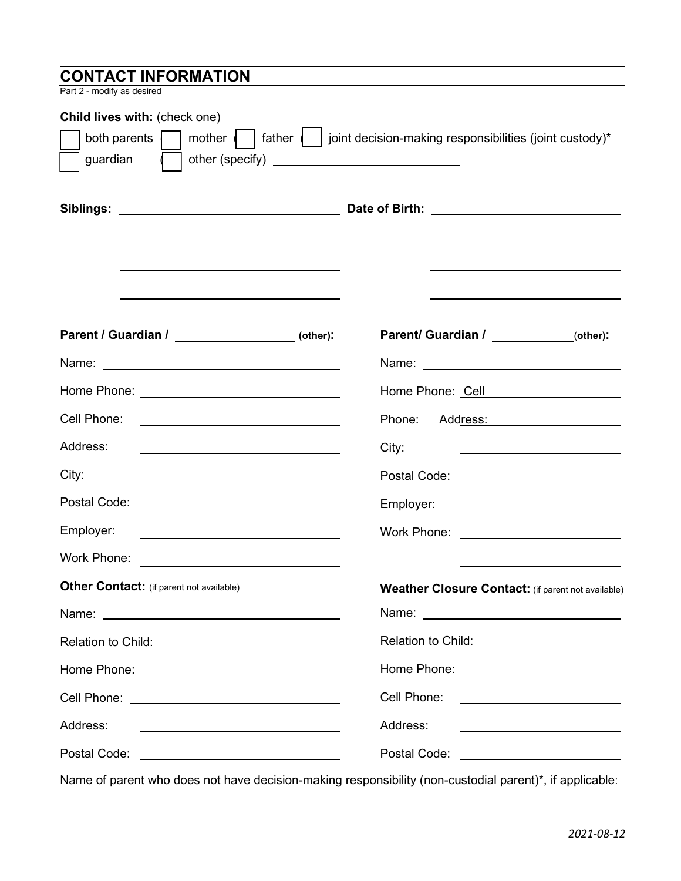| <b>CONTACT INFORMATION</b>                                                                              |                                                                                                                                    |
|---------------------------------------------------------------------------------------------------------|------------------------------------------------------------------------------------------------------------------------------------|
| Part 2 - modify as desired                                                                              |                                                                                                                                    |
| Child lives with: (check one)                                                                           |                                                                                                                                    |
| father    <br>mother $\vert \vert$<br>both parents                                                      | joint decision-making responsibilities (joint custody)*                                                                            |
| guardian                                                                                                |                                                                                                                                    |
|                                                                                                         |                                                                                                                                    |
|                                                                                                         |                                                                                                                                    |
|                                                                                                         | <u> 1980 - Johann Barn, mars ann an t-Amhain an t-Amhain an t-Amhain an t-Amhain an t-Amhain an t-Amhain an t-Amh</u>              |
|                                                                                                         |                                                                                                                                    |
|                                                                                                         |                                                                                                                                    |
| Parent / Guardian / ___________________(other):                                                         | Parent/ Guardian / ____________(other):                                                                                            |
|                                                                                                         |                                                                                                                                    |
|                                                                                                         | Home Phone: Cell <b>Communicate Communicates</b>                                                                                   |
| Cell Phone:                                                                                             | Phone:<br>Add <u>ress: ____________________</u>                                                                                    |
| Address:                                                                                                | City:<br><u> 1989 - Johann John Stone, markin sanadi a</u>                                                                         |
| City:<br><u> 1989 - John Stein, mars and de Brazilian (b. 1989)</u>                                     | Postal Code: <u>________________________</u>                                                                                       |
| Postal Code:                                                                                            | Employer:<br><u> 1989 - Johann Barbara, martin a</u>                                                                               |
| Employer:                                                                                               | <b>Work Phone:</b> Work Phone:                                                                                                     |
| Work Phone:                                                                                             |                                                                                                                                    |
| <b>Other Contact:</b> (if parent not available)                                                         | <b>Weather Closure Contact:</b> (if parent not available)                                                                          |
|                                                                                                         |                                                                                                                                    |
|                                                                                                         | Relation to Child: _________________________                                                                                       |
|                                                                                                         | Home Phone: _________________________                                                                                              |
|                                                                                                         | Cell Phone: <u>_______________________</u>                                                                                         |
| Address:<br><u> 1989 - Andrea Barbara, poeta esperanto-</u>                                             | Address:<br><u> Alexandria (Carlo Carlo Carlo Carlo Carlo Carlo Carlo Carlo Carlo Carlo Carlo Carlo Carlo Carlo Carlo Carlo Ca</u> |
|                                                                                                         | Postal Code: ___________________________                                                                                           |
| Name of parent who does not have decision-making responsibility (non-custodial parent)*, if applicable: |                                                                                                                                    |

 $\sim$  100  $\mu$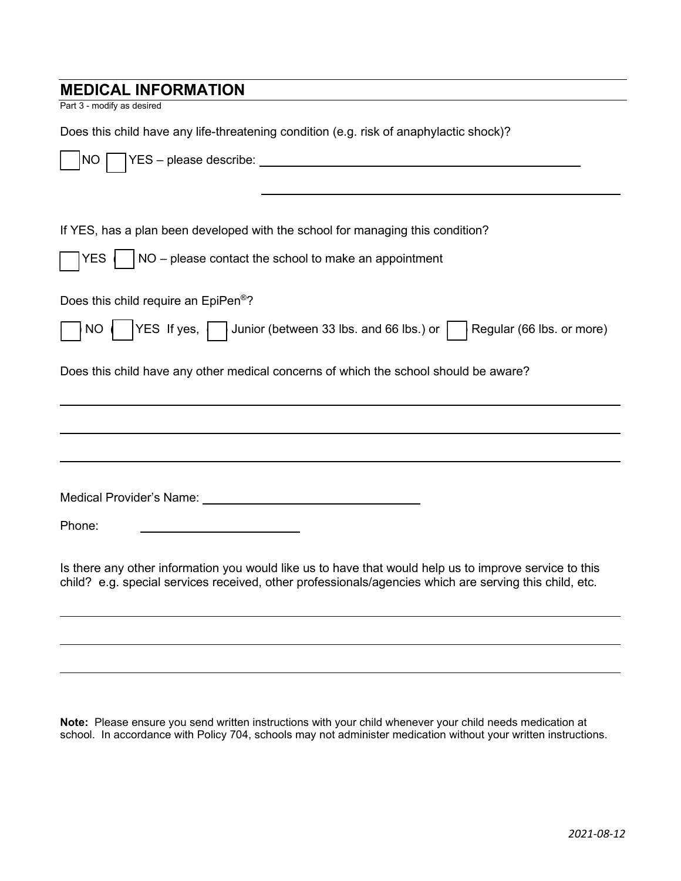# **MEDICAL INFORMATION**

Part 3 - modify as desired

Does this child have any life-threatening condition (e.g. risk of anaphylactic shock)?

| NO.                                                                                                                                                                                                              |
|------------------------------------------------------------------------------------------------------------------------------------------------------------------------------------------------------------------|
|                                                                                                                                                                                                                  |
| If YES, has a plan been developed with the school for managing this condition?                                                                                                                                   |
| NO - please contact the school to make an appointment<br>YES                                                                                                                                                     |
| Does this child require an EpiPen <sup>®</sup> ?                                                                                                                                                                 |
| YES If yes, Junior (between 33 lbs. and 66 lbs.) or  <br>Regular (66 lbs. or more)<br><b>NO</b>                                                                                                                  |
| Does this child have any other medical concerns of which the school should be aware?                                                                                                                             |
|                                                                                                                                                                                                                  |
|                                                                                                                                                                                                                  |
| Medical Provider's Name: University of the Medical Provider's Name:                                                                                                                                              |
| Phone:                                                                                                                                                                                                           |
| Is there any other information you would like us to have that would help us to improve service to this<br>child? e.g. special services received, other professionals/agencies which are serving this child, etc. |
|                                                                                                                                                                                                                  |
|                                                                                                                                                                                                                  |

**Note:** Please ensure you send written instructions with your child whenever your child needs medication at school. In accordance with Policy 704, schools may not administer medication without your written instructions.